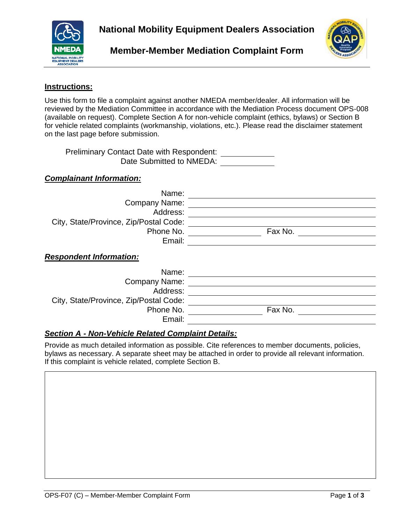



# **Member-Member Mediation Complaint Form**

#### **Instructions:**

Use this form to file a complaint against another NMEDA member/dealer. All information will be reviewed by the Mediation Committee in accordance with the Mediation Process document OPS-008 (available on request). Complete Section A for non-vehicle complaint (ethics, bylaws) or Section B for vehicle related complaints (workmanship, violations, etc.). Please read the disclaimer statement on the last page before submission.

Preliminary Contact Date with Respondent: Date Submitted to NMEDA:

|  |  |  | <b>Complainant Information:</b> |
|--|--|--|---------------------------------|
|--|--|--|---------------------------------|

| Name:                                  |         |
|----------------------------------------|---------|
| <b>Company Name:</b>                   |         |
| Address:                               |         |
| City, State/Province, Zip/Postal Code: |         |
| Phone No.                              | Fax No. |
| Email:                                 |         |
| <b>Respondent Information:</b>         |         |
| Name:                                  |         |
| Company Name:                          |         |
| Address:                               |         |
| City, State/Province, Zip/Postal Code: |         |
| Phone No.                              | Fax No. |
| Email:                                 |         |

### *Section A - Non-Vehicle Related Complaint Details:*

Provide as much detailed information as possible. Cite references to member documents, policies, bylaws as necessary. A separate sheet may be attached in order to provide all relevant information. If this complaint is vehicle related, complete Section B.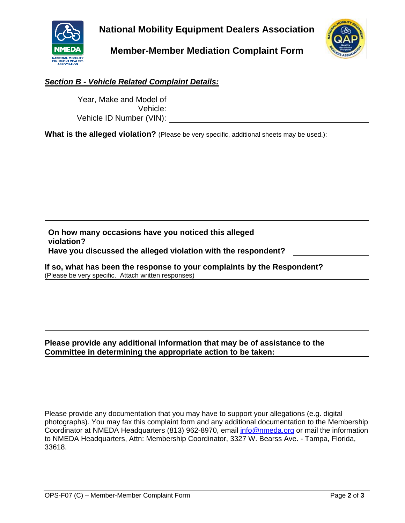

**Member-Member Mediation Complaint Form**



## *Section B - Vehicle Related Complaint Details:*

Year, Make and Model of Vehicle: Vehicle ID Number (VIN):

**What is the alleged violation?** (Please be very specific, additional sheets may be used.):

**On how many occasions have you noticed this alleged violation? Have you discussed the alleged violation with the respondent?**

### **If so, what has been the response to your complaints by the Respondent?**

(Please be very specific. Attach written responses)

### **Please provide any additional information that may be of assistance to the Committee in determining the appropriate action to be taken:**

Please provide any documentation that you may have to support your allegations (e.g. digital photographs). You may fax this complaint form and any additional documentation to the Membership Coordinator at NMEDA Headquarters (813) 962-8970, email [info@nmeda.org](mailto:info@nmeda.org) or mail the information to NMEDA Headquarters, Attn: Membership Coordinator, 3327 W. Bearss Ave. - Tampa, Florida, 33618.